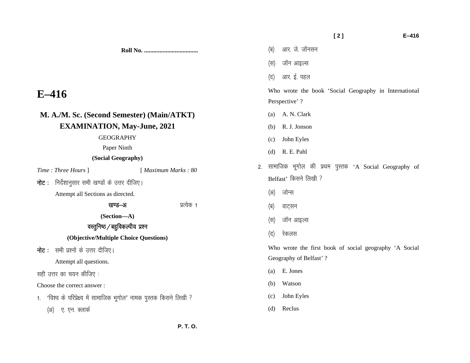**Roll No. ...................................** 

**E–416 M. A./M. Sc. (Second Semester) (Main/ATKT) EXAMINATION, May-June, 2021** GEOGRAPHY Paper Ninth **(Social Geography)**  *Time : Three Hours* ] [ *Maximum Marks : 80*   $\overline{\mathsf{h}}$ ट: निर्देशानुसार सभी खण्डों के उत्तर दीजिए। Attempt all Sections as directed. [k.M&v izR;sd 1 **(Section—A)**  वस्तुनिष्ठ / बहुविकल्पीय प्रश्न **(Objective/Multiple Choice Questions) नोट:** सभी प्रश्नों के उत्तर दीजिए। Attempt all questions. सही उत्तर का चयन कीजिए : Choose the correct answer : 1. 'विश्व के परिप्रेक्ष्य में सामाजिक भूगोल' नामक पुस्तक किसने लिखी ? (अ) ए. एन. क्लार्क (स) जॉन आइल्स (द) आर. ई. पहल Who wrote the book 'Social Geography in International Perspective' ? (a) A. N. Clark (b) R. J. Jonson (c) John Eyles (d) R. E. Pahl 2. सामाजिक भूगोल की प्रथम पुस्तक 'A Social Geography of Belfast' किसने लिखी ? (अ) जोन्स (ब) वाट्सन (स) जॉन आइल्स (द) रेकलस Who wrote the first book of social geography 'A Social Geography of Belfast' ? (a) E. Jones (b) Watson (c) John Eyles (d) Reclus

 **[ 2 ] E–416** 

(ब) आर. जे. जॉनसन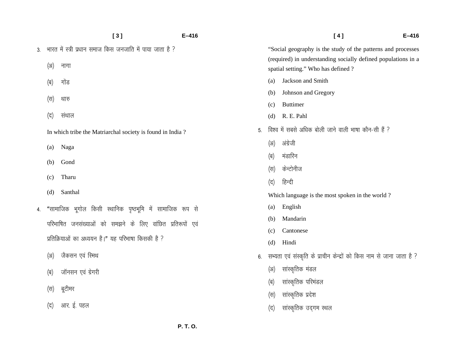|    |      | [3]                                                       | $E-416$ |     |                     | [4]                                                                                                  | $E-416$ |
|----|------|-----------------------------------------------------------|---------|-----|---------------------|------------------------------------------------------------------------------------------------------|---------|
| 3. |      | भारत में स्त्री प्रधान समाज किस जनजाति में पाया जाता है ? |         |     |                     | "Social geography is the study of the patterns and processes                                         |         |
|    | (3I) | नागा                                                      |         |     |                     | (required) in understanding socially defined populations in a<br>spatial setting." Who has defined ? |         |
|    | (ब)  | गोंड                                                      |         |     | (a)                 | Jackson and Smith                                                                                    |         |
|    |      |                                                           |         | (b) | Johnson and Gregory |                                                                                                      |         |
|    | (स)  | थारु                                                      |         |     | (c)                 | <b>Buttimer</b>                                                                                      |         |
|    | (द)  | संथाल                                                     |         |     | (d)                 | R. E. Pahl                                                                                           |         |
|    |      | In which tribe the Matriarchal society is found in India? |         | 5.  |                     | विश्व में सबसे अधिक बोली जाने वाली भाषा कौन-सी हैं ?                                                 |         |
|    | (a)  | Naga                                                      |         |     | (3I)                | अंग्रेजी                                                                                             |         |
|    | (b)  | Gond<br>Tharu                                             |         | (ब) | मंडारिन             |                                                                                                      |         |
|    |      |                                                           |         | (स) | केन्टोनीज           |                                                                                                      |         |
|    | (c)  |                                                           |         | (द) | हिन्दी              |                                                                                                      |         |
|    | (d)  | Santhal                                                   |         |     |                     | Which language is the most spoken in the world?                                                      |         |
| 4. |      | "सामाजिक भूगोल किसी स्थानिक पृष्ठभूमि में सामाजिक रूप से  |         |     | (a)                 | English                                                                                              |         |
|    |      | परिभाषित जनसंख्याओं को समझने के लिए वांछित प्रतिरूपों एवं |         |     | (b)                 | Mandarin                                                                                             |         |
|    |      | प्रतिक्रियाओं का अध्ययन है।" यह परिभाषा किसकी है ?        |         |     | (c)                 | Cantonese                                                                                            |         |
|    |      |                                                           |         |     | (d)                 | Hindi                                                                                                |         |
|    | (3I) | जैकसन एवं रिमथ                                            |         | 6.  |                     | सभ्यता एवं संस्कृति के प्राचीन केन्द्रों को किस नाम से जाना जाता है ?                                |         |
|    | (ब)  | जॉनसन एवं ग्रेगरी                                         |         |     | (3I)                | सांस्कृतिक मंडल                                                                                      |         |
|    | (स)  | बूटीमर                                                    |         |     | (ब)                 | सांस्कृतिक परिमंडल                                                                                   |         |
|    |      |                                                           |         |     | (स)                 | सांस्कृतिक प्रदेश                                                                                    |         |
|    | (द)  | आर. ई. पहल                                                |         |     | (द)                 | सांस्कृतिक उद्गम स्थल                                                                                |         |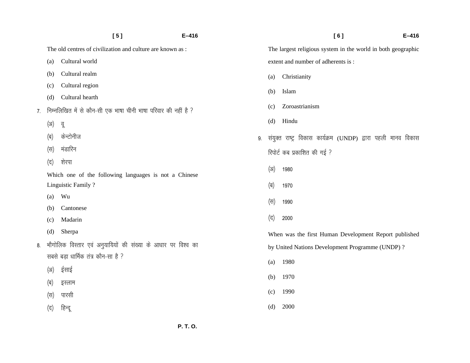|    |                                                              | [5]                                                            | $E-416$ | [6]<br>$E - 416$                                                    |
|----|--------------------------------------------------------------|----------------------------------------------------------------|---------|---------------------------------------------------------------------|
|    | The old centres of civilization and culture are known as :   |                                                                |         | The largest religious system in the world in both geographic        |
|    | (a)                                                          | Cultural world                                                 |         | extent and number of adherents is:                                  |
|    | (b)                                                          | Cultural realm                                                 |         | Christianity<br>(a)                                                 |
|    | (c)                                                          | Cultural region                                                |         |                                                                     |
|    | (d)                                                          | Cultural hearth                                                |         | Islam<br>(b)                                                        |
| 7. |                                                              | निम्नलिखित में से कौन-सी एक भाषा चीनी भाषा परिवार की नहीं है ? |         | Zoroastrianism<br>(c)                                               |
|    | (3I)                                                         | वू                                                             |         | Hindu<br>(d)                                                        |
|    | (ब)                                                          | केन्टोनीज                                                      |         | संयुक्त राष्ट्र विकास कार्यक्रम (UNDP) द्वारा पहली मानव विकास<br>9. |
|    | (स)                                                          | मंडारिन                                                        |         | रिपोर्ट कब प्रकाशित की गई ?                                         |
|    | (द)                                                          | शेरपा                                                          |         |                                                                     |
|    |                                                              | Which one of the following languages is not a Chinese          |         | (3I)<br>1980                                                        |
|    |                                                              | Linguistic Family?                                             |         | (ब)<br>1970                                                         |
|    | (a)                                                          | Wu                                                             |         | (स)<br>1990                                                         |
|    | (b)                                                          | Cantonese                                                      |         |                                                                     |
|    | (c)                                                          | Madarin                                                        |         | (द)<br>2000                                                         |
|    | (d)                                                          | Sherpa                                                         |         | When was the first Human Development Report published               |
| 8. | भौगोलिक विस्तार एवं अनुयायियों की संख्या के आधार पर विश्व का |                                                                |         | by United Nations Development Programme (UNDP)?                     |
|    |                                                              | सबसे बड़ा धार्मिक तंत्र कौन-सा है ?                            |         | 1980<br>(a)                                                         |
|    | (3I)                                                         | ईसाई                                                           |         |                                                                     |
|    | (ब)                                                          | इस्लाम                                                         |         | 1970<br>(b)                                                         |
|    | (स)                                                          | पारसी                                                          |         | 1990<br>(c)                                                         |
|    | (द)                                                          | हिन्दू                                                         |         | 2000<br>(d)                                                         |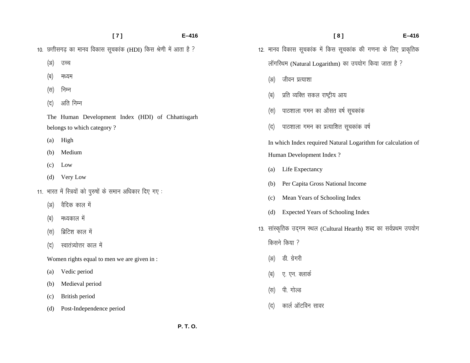- **[ 7 ] E–416**  10. छत्तीसगढ़ का मानव विकास सूचकांक (HDI) किस श्रेणी में आता है ? (अ) उच्च (ब) मध्यम (स) निम्न (द) अति निम्न The Human Development Index (HDI) of Chhattisgarh belongs to which category ? (a) High (b) Medium (c) Low (d) Very Low 11. भारत में स्त्रियों को पुरुषों के समान अधिकार दिए गए: (अ) वैदिक काल में (ब) मध्यकाल में (स) ब्रिटिश काल में (द) स्वातंत्र्योत्तर काल में Women rights equal to men we are given in :
	- (a) Vedic period
	- (b) Medieval period
	- (c) British period
	- (d) Post-Independence period

|              | [8]                                                                  | $E - 416$ |  |  |
|--------------|----------------------------------------------------------------------|-----------|--|--|
|              | 12. मानव विकास सूचकांक में किस सूचकांक की गणना के लिए प्राकृतिक      |           |  |  |
|              | लॉगरिथम (Natural Logarithm) का उपयोग किया जाता है ?                  |           |  |  |
| (अ)          | जीवन प्रत्याशा                                                       |           |  |  |
|              | (ब)     प्रति व्यक्ति  सकल  राष्ट्रीय  आय                            |           |  |  |
|              | (स) पाठशाला गमन का औसत वर्ष सूचकांक                                  |           |  |  |
| (द)          | पाठशाला गमन का प्रत्याशित सूचकांक वर्ष                               |           |  |  |
|              | In which Index required Natural Logarithm for calculation of         |           |  |  |
|              | Human Development Index?                                             |           |  |  |
| (a)          | Life Expectancy                                                      |           |  |  |
| (b)          | Per Capita Gross National Income                                     |           |  |  |
| (c)          | Mean Years of Schooling Index                                        |           |  |  |
| (d)          | <b>Expected Years of Schooling Index</b>                             |           |  |  |
|              | 13.  सांस्कृतिक उद्गम स्थल (Cultural Hearth) शब्द का सर्वप्रथम उपयोग |           |  |  |
| किसने किया ? |                                                                      |           |  |  |
|              | (अ) डी. ग्रेगरी                                                      |           |  |  |
|              | (ब) ए. एन. क्लार्क                                                   |           |  |  |
|              | (स) पी. गोल्ड                                                        |           |  |  |
| (द)          | कार्ल ऑटविन सावर                                                     |           |  |  |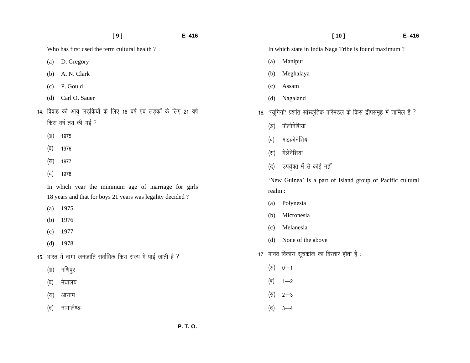|  |                                                                                                                  | [9]                                                                | $E-416$  |                                                      | [10]<br>$E - 416$                                                     |  |
|--|------------------------------------------------------------------------------------------------------------------|--------------------------------------------------------------------|----------|------------------------------------------------------|-----------------------------------------------------------------------|--|
|  |                                                                                                                  | Who has first used the term cultural health?                       |          | In which state in India Naga Tribe is found maximum? |                                                                       |  |
|  | (a)                                                                                                              | D. Gregory                                                         |          | (a)                                                  | Manipur                                                               |  |
|  | (b)                                                                                                              | A. N. Clark                                                        |          | (b)                                                  | Meghalaya                                                             |  |
|  | (c)                                                                                                              | P. Gould                                                           |          | (c)                                                  | Assam                                                                 |  |
|  | (d)                                                                                                              | Carl O. Sauer                                                      |          | (d)                                                  | Nagaland                                                              |  |
|  |                                                                                                                  | 14. विवाह की आयु लड़कियों के लिए 18 वर्ष एवं लड़कों के लिए 21 वर्ष | 16.      |                                                      | 'न्यूगिनी' प्रशांत सांस्कृतिक परिमंडल के किस द्वीपसमूह में शामिल है ? |  |
|  | किस वर्ष तय की गई ?<br>(3I)<br>1975                                                                              |                                                                    |          | (3I)                                                 | पॉलोनेशिया                                                            |  |
|  |                                                                                                                  |                                                                    |          | (ब)                                                  | माइक्रोनेशिया                                                         |  |
|  | (ब)                                                                                                              | 1976                                                               |          | (स)                                                  | मेलेनेशिया                                                            |  |
|  | (स)                                                                                                              | 1977                                                               |          | (द)                                                  | उपर्युक्त में से कोई नहीं                                             |  |
|  | (द)                                                                                                              | 1978                                                               |          |                                                      | 'New Guinea' is a part of Island group of Pacific cultural            |  |
|  | In which year the minimum age of marriage for girls<br>18 years and that for boys 21 years was legality decided? |                                                                    |          | realm:                                               |                                                                       |  |
|  |                                                                                                                  |                                                                    |          | (a)                                                  | Polynesia                                                             |  |
|  | (a)<br>(b)                                                                                                       | 1975<br>1976                                                       |          | (b)                                                  | Micronesia                                                            |  |
|  | (c)                                                                                                              | 1977                                                               |          | (c)                                                  | Melanesia                                                             |  |
|  | (d)                                                                                                              | 1978                                                               |          | (d)                                                  | None of the above                                                     |  |
|  |                                                                                                                  | 15. भारत में नागा जनजाति सर्वाधिक किस राज्य में पाई जाती है ?      |          |                                                      | 17. मानव विकास सूचकांक का विस्तार होता है :                           |  |
|  | (3I)                                                                                                             | मणिपुर                                                             |          | (3I)                                                 | $0 - 1$                                                               |  |
|  | (ब)                                                                                                              | मेघालय                                                             |          | (ब)                                                  | $1 - 2$                                                               |  |
|  | (स)                                                                                                              | आसाम                                                               |          | (स)                                                  | $2 - 3$                                                               |  |
|  | (द)                                                                                                              | नागालैण्ड                                                          |          | (द)                                                  | $3 - 4$                                                               |  |
|  |                                                                                                                  |                                                                    | P. T. O. |                                                      |                                                                       |  |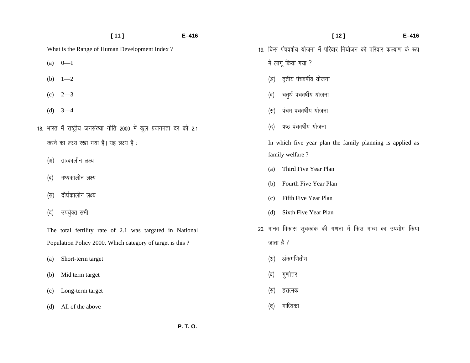|     | [11]                                                                 | $E-416$ |      | $[12]$<br>$E-416$                                                 |  |
|-----|----------------------------------------------------------------------|---------|------|-------------------------------------------------------------------|--|
|     | What is the Range of Human Development Index?                        |         |      | 19. किस पंचवर्षीय योजना में परिवार नियोजन को परिवार कल्याण के रूप |  |
| (a) | $0 - 1$                                                              |         |      | में लागू किया गया ?                                               |  |
| (b) | $1 - 2$                                                              |         | (3I) | तृतीय पंचवर्षीय योजना                                             |  |
| (c) | $2 - 3$                                                              |         | (ब)  | चतुर्थ पंचवर्षीय योजना                                            |  |
| (d) | $3 - 4$                                                              |         | (स)  | पंचम पंचवर्षीय योजना                                              |  |
|     | 18. भारत में राष्ट्रीय जनसंख्या नीति 2000 में कुल प्रजननता दर को 2.1 |         | (द)  | षष्ठ पंचवर्षीय योजना                                              |  |
|     | करने का लक्ष्य रखा गया है। यह लक्ष्य है:                             |         |      | In which five year plan the family planning is applied as         |  |
| (3) | तात्कालीन लक्ष्य                                                     |         |      | family welfare?                                                   |  |
|     |                                                                      |         | (a)  | Third Five Year Plan                                              |  |
| (ब) | मध्यकालीन लक्ष्य                                                     |         | (b)  | Fourth Five Year Plan                                             |  |
| (स) | दीर्घकालीन लक्ष्य                                                    |         | (c)  | Fifth Five Year Plan                                              |  |
| (द) | उपर्युक्त सभी                                                        |         | (d)  | Sixth Five Year Plan                                              |  |
|     | The total fertility rate of 2.1 was targated in National             |         |      | 20. मानव विकास सूचकांक की गणना में किस माध्य का उपयोग किया        |  |
|     | Population Policy 2000. Which category of target is this?            |         |      | जाता है ?                                                         |  |
| (a) | Short-term target                                                    |         | (3I) | अंकगणितीय                                                         |  |
| (b) | Mid term target                                                      |         | (ब)  | गुणोत्तर                                                          |  |
| (c) | Long-term target                                                     |         | (स)  | हरात्मक                                                           |  |
| (d) | All of the above                                                     |         | (द)  | माध्यिका                                                          |  |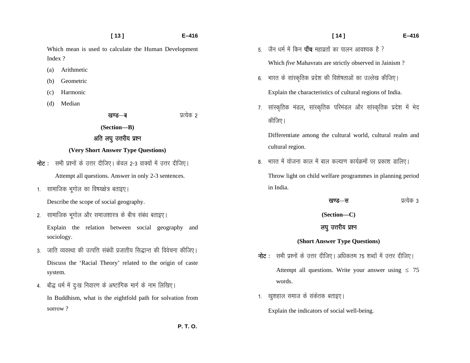- **[ 13 ] E–416**  Which mean is used to calculate the Human Development
- Index ?
- (a) Arithmetic
- (b) Geometric
- (c) Harmonic
- (d) Median

[k.M&c izR;sd 2

**(Section—B)** 

# अति लघु उत्तरीय प्रश्न

### **(Very Short Answer Type Questions)**

- **नोट**: सभी प्रश्नों के उत्तर दीजिए। केवल 2-3 वाक्यों में उत्तर दीजिए। Attempt all questions. Answer in only 2-3 sentences.
- 1. सामाजिक भूगोल का विषयक्षेत्र बताइए।

Describe the scope of social geography.

2. सामाजिक भूगोल और समाजशास्त्र के बीच संबंध बताइए।

Explain the relation between social geography and sociology.

- 3. जाति व्यवस्था की उत्पत्ति संबंधी प्रजातीय सिद्धान्त की विवेचना कीजिए। Discuss the 'Racial Theory' related to the origin of caste system.
- 4. बौद्ध धर्म में दुःख निवारण के अष्टांगिक मार्ग के नाम लिखिए। In Buddhism, what is the eightfold path for solvation from sorrow ?
- 5. जैन धर्म में किन **पाँच** महाव्रतों का पालन आवश्यक है ? Which *five* Mahavrats are strictly observed in Jainism ?
- 6. भारत के सांस्कृतिक प्रदेश की विशेषताओं का उल्लेख कीजिए।

Explain the characteristics of cultural regions of India.

7. सांस्कृतिक मंडल, सांस्कृतिक परिमंडल और सांस्कृतिक प्रदेश में भेद कीजिए।

Differentiate among the cultural world, cultural realm and cultural region.

8. भारत में योजना काल में बाल कल्याण कार्यक्रमों पर प्रकाश डालिए। Throw light on child welfare programmes in planning period in India.

|        | प्रत्येक ३ |
|--------|------------|
| खण्ड—स |            |

 **[ 14 ] E–416** 

**(Section—C)** 

## लघु उत्तरीय प्रश्न

#### **(Short Answer Type Questions)**

- $\overline{\mathsf{h}}$ ट : सभी प्रश्नों के उत्तर दीजिए। अधिकतम 75 शब्दों में उत्तर दीजिए। Attempt all questions. Write your answer using  $\leq 75$ words.
- 1. खुशहाल समाज के संकेतक बताइए।

Explain the indicators of social well-being.

 **P. T. O.**